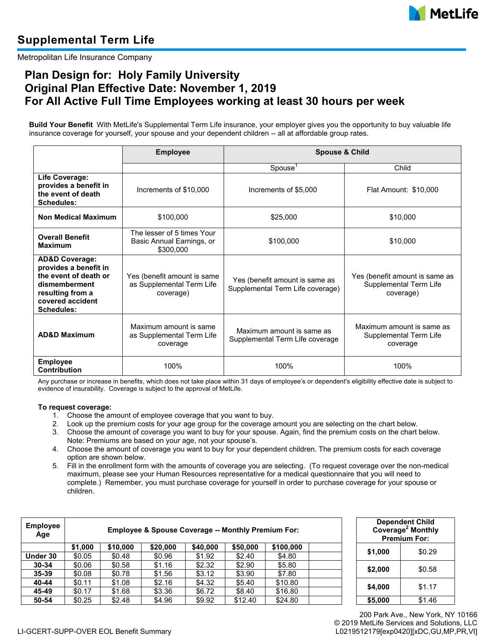

Metropolitan Life Insurance Company

## **Plan Design for: Holy Family University Original Plan Effective Date: November 1, 2019 For All Active Full Time Employees working at least 30 hours per week**

**Build Your Benefit** With MetLife's Supplemental Term Life insurance, your employer gives you the opportunity to buy valuable life insurance coverage for yourself, your spouse and your dependent children -- all at affordable group rates.

|                                                                                                                                                    | <b>Employee</b>                                                       | <b>Spouse &amp; Child</b>                                          |                                                                       |  |  |
|----------------------------------------------------------------------------------------------------------------------------------------------------|-----------------------------------------------------------------------|--------------------------------------------------------------------|-----------------------------------------------------------------------|--|--|
|                                                                                                                                                    |                                                                       | Spouse                                                             | Child                                                                 |  |  |
| Life Coverage:<br>provides a benefit in<br>the event of death<br>Schedules:                                                                        | Increments of \$10,000                                                | Increments of \$5,000                                              | Flat Amount: \$10,000                                                 |  |  |
| <b>Non Medical Maximum</b>                                                                                                                         | \$100,000                                                             | \$25,000                                                           | \$10,000                                                              |  |  |
| <b>Overall Benefit</b><br><b>Maximum</b>                                                                                                           | The lesser of 5 times Your<br>Basic Annual Earnings, or<br>\$300,000  | \$100,000                                                          | \$10,000                                                              |  |  |
| <b>AD&amp;D Coverage:</b><br>provides a benefit in<br>the event of death or<br>dismemberment<br>resulting from a<br>covered accident<br>Schedules: | Yes (benefit amount is same<br>as Supplemental Term Life<br>coverage) | Yes (benefit amount is same as<br>Supplemental Term Life coverage) | Yes (benefit amount is same as<br>Supplemental Term Life<br>coverage) |  |  |
| <b>AD&amp;D Maximum</b>                                                                                                                            | Maximum amount is same<br>as Supplemental Term Life<br>coverage       | Maximum amount is same as<br>Supplemental Term Life coverage       | Maximum amount is same as<br>Supplemental Term Life<br>coverage       |  |  |
| <b>Employee</b><br><b>Contribution</b>                                                                                                             | 100%                                                                  | 100%                                                               | 100%                                                                  |  |  |

Any purchase or increase in benefits, which does not take place within 31 days of employee's or dependent's eligibility effective date is subject to evidence of insurability. Coverage is subject to the approval of MetLife.

## **To request coverage:**

- 1. Choose the amount of employee coverage that you want to buy.
- 2. Look up the premium costs for your age group for the coverage amount you are selecting on the chart below.
- 3. Choose the amount of coverage you want to buy for your spouse. Again, find the premium costs on the chart below. Note: Premiums are based on your age, not your spouse's.
- 4. Choose the amount of coverage you want to buy for your dependent children. The premium costs for each coverage option are shown below.
- 5. Fill in the enrollment form with the amounts of coverage you are selecting. (To request coverage over the non-medical maximum, please see your Human Resources representative for a medical questionnaire that you will need to complete.) Remember, you must purchase coverage for yourself in order to purchase coverage for your spouse or children.

| <b>Employee</b><br>Age | <b>Employee &amp; Spouse Coverage -- Monthly Premium For:</b> |          |          |          |          |           |  | <b>Dependent Child</b><br>Coverage <sup>2</sup> Monthly<br><b>Premium For:</b> |        |  |
|------------------------|---------------------------------------------------------------|----------|----------|----------|----------|-----------|--|--------------------------------------------------------------------------------|--------|--|
|                        | \$1.000                                                       | \$10,000 | \$20,000 | \$40,000 | \$50,000 | \$100,000 |  |                                                                                | \$0.29 |  |
| Under 30               | \$0.05                                                        | \$0.48   | \$0.96   | \$1.92   | \$2.40   | \$4.80    |  | \$1,000                                                                        |        |  |
| $30 - 34$              | \$0.06                                                        | \$0.58   | \$1.16   | \$2.32   | \$2.90   | \$5.80    |  | \$2,000                                                                        | \$0.58 |  |
| $35 - 39$              | \$0.08                                                        | \$0.78   | \$1.56   | \$3.12   | \$3.90   | \$7.80    |  |                                                                                |        |  |
| 40-44                  | \$0.11                                                        | \$1.08   | \$2.16   | \$4.32   | \$5.40   | \$10.80   |  | \$4,000                                                                        | \$1.17 |  |
| 45-49                  | \$0.17                                                        | \$1.68   | \$3.36   | \$6.72   | \$8.40   | \$16.80   |  |                                                                                |        |  |
| 50-54                  | \$0.25                                                        | \$2.48   | \$4.96   | \$9.92   | \$12.40  | \$24.80   |  | \$5,000                                                                        | \$1.46 |  |

|         | <b>Dependent Child</b><br>Coverage <sup>2</sup> Monthly<br><b>Premium For:</b> |  |  |  |
|---------|--------------------------------------------------------------------------------|--|--|--|
| \$1,000 | \$0.29                                                                         |  |  |  |
| \$2,000 | \$0.58                                                                         |  |  |  |
| \$4,000 | \$1.17                                                                         |  |  |  |
| \$5,000 | \$1.46                                                                         |  |  |  |

200 Park Ave., New York, NY 10166 © 2019 MetLife Services and Solutions, LLC L0219512179[exp0420][xDC,GU,MP,PR,VI]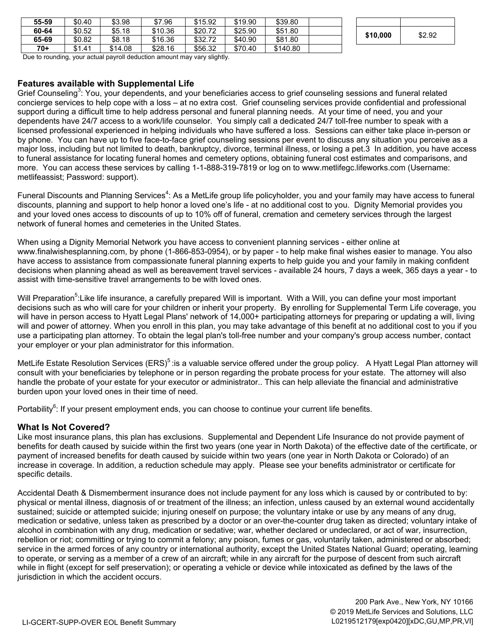| 55-59 | \$0.40 | \$3.98  | \$7.96  | \$15.92 | \$19.90 | \$39.80  |  |          |        |
|-------|--------|---------|---------|---------|---------|----------|--|----------|--------|
| 60-64 | \$0.52 | \$5.18  | \$10.36 | \$20.72 | \$25.90 | \$51.80  |  | \$10,000 | \$2.92 |
| 65-69 | \$0.82 | \$8.18  | \$16.36 | \$32.72 | \$40.90 | \$81.80  |  |          |        |
| $70+$ | \$1.41 | \$14.08 | \$28.16 | \$56.32 | \$70.40 | \$140.80 |  |          |        |

| \$10,000 | \$2.92 |
|----------|--------|
|          |        |

Due to rounding, your actual payroll deduction amount may vary slightly.

## **Features available with Supplemental Life**

Grief Counseling<sup>3</sup>: You, your dependents, and your beneficiaries access to grief counseling sessions and funeral related concierge services to help cope with a loss – at no extra cost. Grief counseling services provide confidential and professional support during a difficult time to help address personal and funeral planning needs. At your time of need, you and your dependents have 24/7 access to a work/life counselor. You simply call a dedicated 24/7 toll-free number to speak with a licensed professional experienced in helping individuals who have suffered a loss. Sessions can either take place in-person or by phone. You can have up to five face-to-face grief counseling sessions per event to discuss any situation you perceive as a major loss, including but not limited to death, bankruptcy, divorce, terminal illness, or losing a pet.3 In addition, you have access to funeral assistance for locating funeral homes and cemetery options, obtaining funeral cost estimates and comparisons, and more. You can access these services by calling 1-1-888-319-7819 or log on to www.metlifegc.lifeworks.com (Username: metlifeassist; Password: support).

Funeral Discounts and Planning Services<sup>4</sup>: As a MetLife group life policyholder, you and your family may have access to funeral discounts, planning and support to help honor a loved one's life - at no additional cost to you. Dignity Memorial provides you and your loved ones access to discounts of up to 10% off of funeral, cremation and cemetery services through the largest network of funeral homes and cemeteries in the United States.

When using a Dignity Memorial Network you have access to convenient planning services - either online at www.finalwishesplanning.com, by phone (1-866-853-0954), or by paper - to help make final wishes easier to manage. You also have access to assistance from compassionate funeral planning experts to help guide you and your family in making confident decisions when planning ahead as well as bereavement travel services - available 24 hours, 7 days a week, 365 days a year - to assist with time-sensitive travel arrangements to be with loved ones.

Will Preparation<sup>5</sup>:Like life insurance, a carefully prepared Will is important. With a Will, you can define your most important decisions such as who will care for your children or inherit your property. By enrolling for Supplemental Term Life coverage, you will have in person access to Hyatt Legal Plans' network of 14,000+ participating attorneys for preparing or updating a will, living will and power of attorney. When you enroll in this plan, you may take advantage of this benefit at no additional cost to you if you use a participating plan attorney. To obtain the legal plan's toll-free number and your company's group access number, contact your employer or your plan administrator for this information.

MetLife Estate Resolution Services (ERS)<sup>5</sup> : is a valuable service offered under the group policy. A Hyatt Legal Plan attorney will consult with your beneficiaries by telephone or in person regarding the probate process for your estate. The attorney will also handle the probate of your estate for your executor or administrator.. This can help alleviate the financial and administrative burden upon your loved ones in their time of need.

Portability<sup>6</sup>: If your present employment ends, you can choose to continue your current life benefits.

## **What Is Not Covered?**

Like most insurance plans, this plan has exclusions. Supplemental and Dependent Life Insurance do not provide payment of benefits for death caused by suicide within the first two years (one year in North Dakota) of the effective date of the certificate, or payment of increased benefits for death caused by suicide within two years (one year in North Dakota or Colorado) of an increase in coverage. In addition, a reduction schedule may apply. Please see your benefits administrator or certificate for specific details.

Accidental Death & Dismemberment insurance does not include payment for any loss which is caused by or contributed to by: physical or mental illness, diagnosis of or treatment of the illness; an infection, unless caused by an external wound accidentally sustained; suicide or attempted suicide; injuring oneself on purpose; the voluntary intake or use by any means of any drug, medication or sedative, unless taken as prescribed by a doctor or an over-the-counter drug taken as directed; voluntary intake of alcohol in combination with any drug, medication or sedative; war, whether declared or undeclared, or act of war, insurrection, rebellion or riot; committing or trying to commit a felony; any poison, fumes or gas, voluntarily taken, administered or absorbed; service in the armed forces of any country or international authority, except the United States National Guard; operating, learning to operate, or serving as a member of a crew of an aircraft; while in any aircraft for the purpose of descent from such aircraft while in flight (except for self preservation); or operating a vehicle or device while intoxicated as defined by the laws of the jurisdiction in which the accident occurs.